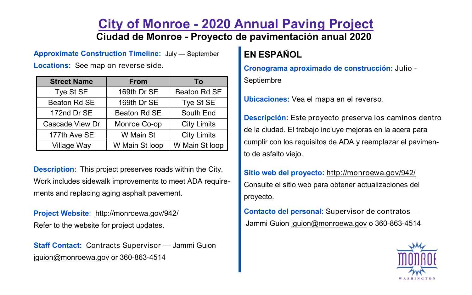## **City of Monroe - 2020 Annual Paving Project Ciudad de Monroe - Proyecto de pavimentación anual 2020**

**Approximate Construction Timeline:** July — September

**Locations:** See map on reverse side.

| <b>Street Name</b> | <b>From</b>    | To                 |
|--------------------|----------------|--------------------|
| Tye St SE          | 169th Dr SE    | Beaton Rd SE       |
| Beaton Rd SE       | 169th Dr SE    | Tye St SE          |
| 172nd Dr SE        | Beaton Rd SE   | South End          |
| Cascade View Dr    | Monroe Co-op   | <b>City Limits</b> |
| 177th Ave SE       | W Main St      | <b>City Limits</b> |
| Village Way        | W Main St loop | W Main St loop     |

**Description:** This project preserves roads within the City. Work includes sidewalk improvements to meet ADA requirements and replacing aging asphalt pavement.

**Project Website**: http://monroewa.gov/942/ Refer to the website for project updates.

**Staff Contact:** Contracts Supervisor — Jammi Guion jguion@monroewa.gov or 360-863-4514

## **EN ESPAÑOL**

**Cronograma aproximado de construcción:** Julio -

Septiembre

**Ubicaciones:** Vea el mapa en el reverso.

**Descripción:** Este proyecto preserva los caminos dentro de la ciudad. El trabajo incluye mejoras en la acera para cumplir con los requisitos de ADA y reemplazar el pavimento de asfalto viejo.

**Sitio web del proyecto:** http://monroewa.gov/942/ Consulte el sitio web para obtener actualizaciones del proyecto.

**Contacto del personal:** Supervisor de contratos— Jammi Guion jguion@monroewa.gov o 360-863-4514